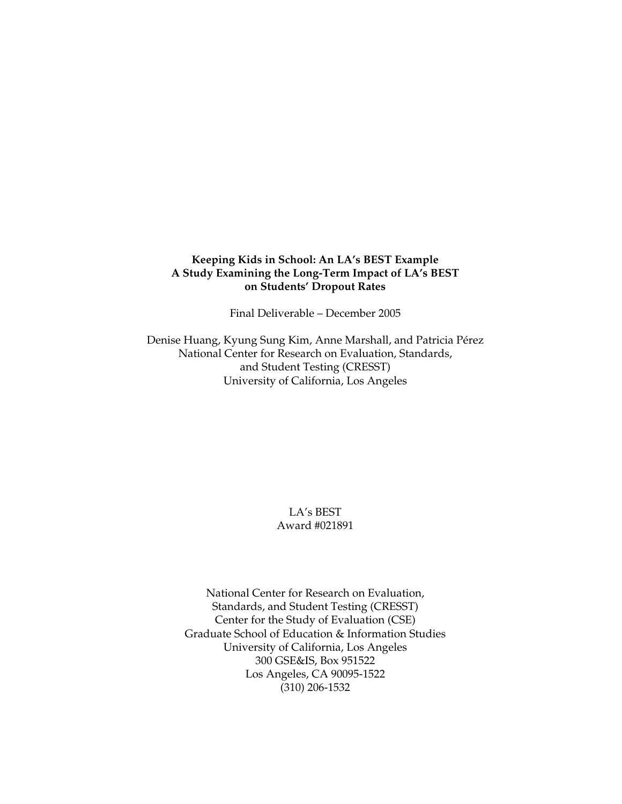## **Keeping Kids in School: An LA's BEST Example A Study Examining the Long-Term Impact of LA's BEST on Students' Dropout Rates**

Final Deliverable – December 2005

Denise Huang, Kyung Sung Kim, Anne Marshall, and Patricia Pérez National Center for Research on Evaluation, Standards, and Student Testing (CRESST) University of California, Los Angeles

## LA's BEST Award #021891

National Center for Research on Evaluation, Standards, and Student Testing (CRESST) Center for the Study of Evaluation (CSE) Graduate School of Education & Information Studies University of California, Los Angeles 300 GSE&IS, Box 951522 Los Angeles, CA 90095-1522 (310) 206-1532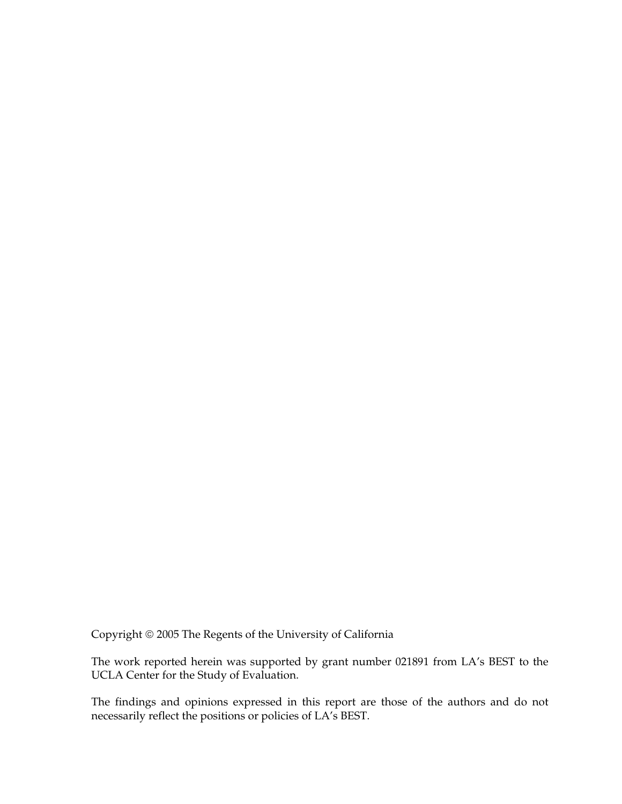Copyright © 2005 The Regents of the University of California

The work reported herein was supported by grant number 021891 from LA's BEST to the UCLA Center for the Study of Evaluation.

The findings and opinions expressed in this report are those of the authors and do not necessarily reflect the positions or policies of LA's BEST.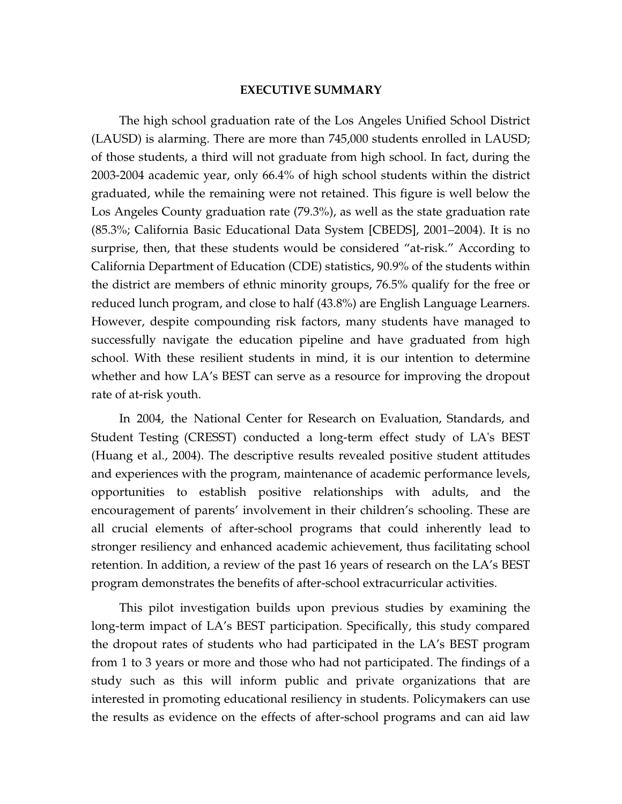## **EXECUTIVE SUMMARY**

The high school graduation rate of the Los Angeles Unified School District (LAUSD) is alarming. There are more than 745,000 students enrolled in LAUSD; of those students, a third will not graduate from high school. In fact, during the 2003-2004 academic year, only 66.4% of high school students within the district graduated, while the remaining were not retained. This figure is well below the Los Angeles County graduation rate (79.3%), as well as the state graduation rate (85.3%; California Basic Educational Data System [CBEDS], 2001–2004). It is no surprise, then, that these students would be considered "at-risk." According to California Department of Education (CDE) statistics, 90.9% of the students within the district are members of ethnic minority groups, 76.5% qualify for the free or reduced lunch program, and close to half (43.8%) are English Language Learners. However, despite compounding risk factors, many students have managed to successfully navigate the education pipeline and have graduated from high school. With these resilient students in mind, it is our intention to determine whether and how LA's BEST can serve as a resource for improving the dropout rate of at-risk youth.

In 2004, the National Center for Research on Evaluation, Standards, and Student Testing (CRESST) conducted a long-term effect study of LA's BEST (Huang et al., 2004). The descriptive results revealed positive student attitudes and experiences with the program, maintenance of academic performance levels, opportunities to establish positive relationships with adults, and the encouragement of parents' involvement in their children's schooling. These are all crucial elements of after-school programs that could inherently lead to stronger resiliency and enhanced academic achievement, thus facilitating school retention. In addition, a review of the past 16 years of research on the LA's BEST program demonstrates the benefits of after-school extracurricular activities.

This pilot investigation builds upon previous studies by examining the long-term impact of LA's BEST participation. Specifically, this study compared the dropout rates of students who had participated in the LA's BEST program from 1 to 3 years or more and those who had not participated. The findings of a study such as this will inform public and private organizations that are interested in promoting educational resiliency in students. Policymakers can use the results as evidence on the effects of after-school programs and can aid law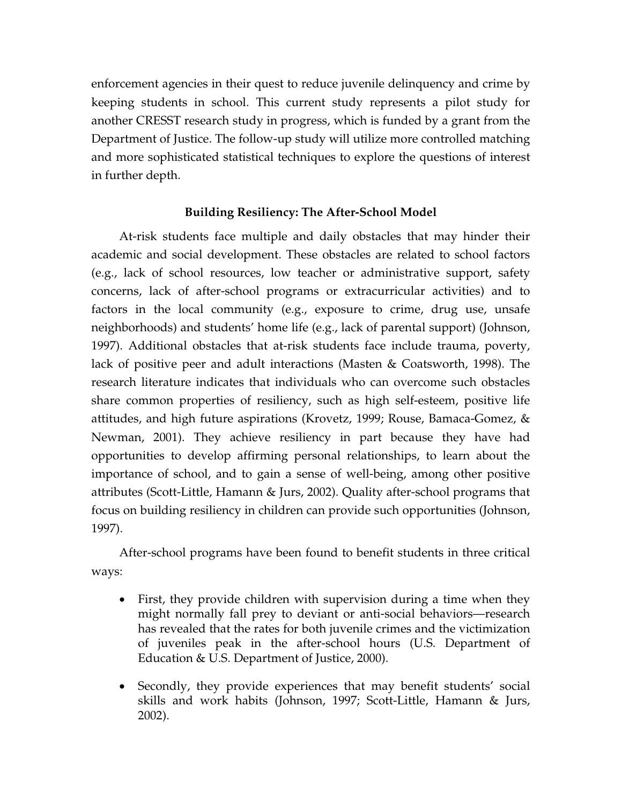enforcement agencies in their quest to reduce juvenile delinquency and crime by keeping students in school. This current study represents a pilot study for another CRESST research study in progress, which is funded by a grant from the Department of Justice. The follow-up study will utilize more controlled matching and more sophisticated statistical techniques to explore the questions of interest in further depth.

## **Building Resiliency: The After-School Model**

At-risk students face multiple and daily obstacles that may hinder their academic and social development. These obstacles are related to school factors (e.g., lack of school resources, low teacher or administrative support, safety concerns, lack of after-school programs or extracurricular activities) and to factors in the local community (e.g., exposure to crime, drug use, unsafe neighborhoods) and students' home life (e.g., lack of parental support) (Johnson, 1997). Additional obstacles that at-risk students face include trauma, poverty, lack of positive peer and adult interactions (Masten & Coatsworth, 1998). The research literature indicates that individuals who can overcome such obstacles share common properties of resiliency, such as high self-esteem, positive life attitudes, and high future aspirations (Krovetz, 1999; Rouse, Bamaca-Gomez, & Newman, 2001). They achieve resiliency in part because they have had opportunities to develop affirming personal relationships, to learn about the importance of school, and to gain a sense of well-being, among other positive attributes (Scott-Little, Hamann & Jurs, 2002). Quality after-school programs that focus on building resiliency in children can provide such opportunities (Johnson, 1997).

After-school programs have been found to benefit students in three critical ways:

- First, they provide children with supervision during a time when they might normally fall prey to deviant or anti-social behaviors—research has revealed that the rates for both juvenile crimes and the victimization of juveniles peak in the after-school hours (U.S. Department of Education & U.S. Department of Justice, 2000).
- Secondly, they provide experiences that may benefit students' social skills and work habits (Johnson, 1997; Scott-Little, Hamann & Jurs, 2002).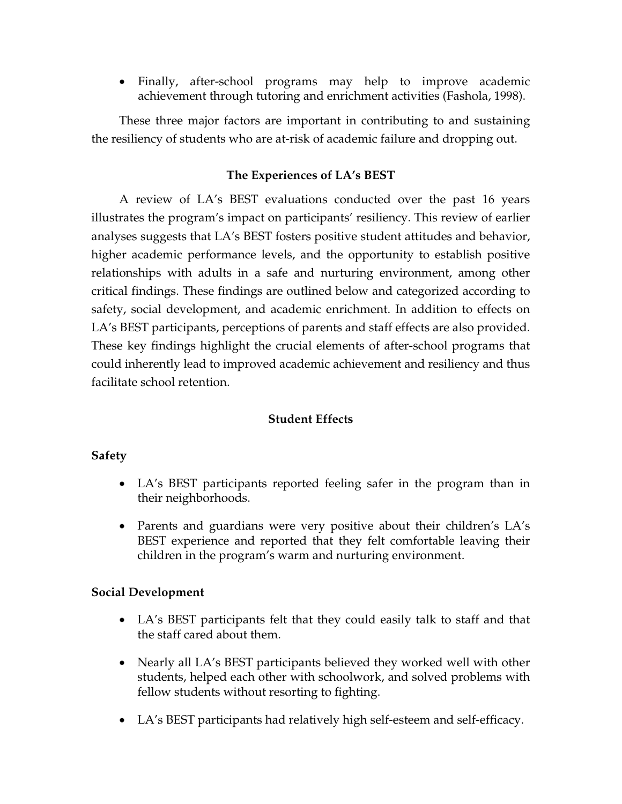• Finally, after-school programs may help to improve academic achievement through tutoring and enrichment activities (Fashola, 1998).

These three major factors are important in contributing to and sustaining the resiliency of students who are at-risk of academic failure and dropping out.

# **The Experiences of LA's BEST**

A review of LA's BEST evaluations conducted over the past 16 years illustrates the program's impact on participants' resiliency. This review of earlier analyses suggests that LA's BEST fosters positive student attitudes and behavior, higher academic performance levels, and the opportunity to establish positive relationships with adults in a safe and nurturing environment, among other critical findings. These findings are outlined below and categorized according to safety, social development, and academic enrichment. In addition to effects on LA's BEST participants, perceptions of parents and staff effects are also provided. These key findings highlight the crucial elements of after-school programs that could inherently lead to improved academic achievement and resiliency and thus facilitate school retention.

# **Student Effects**

# **Safety**

- LA's BEST participants reported feeling safer in the program than in their neighborhoods.
- Parents and guardians were very positive about their children's LA's BEST experience and reported that they felt comfortable leaving their children in the program's warm and nurturing environment.

# **Social Development**

- LA's BEST participants felt that they could easily talk to staff and that the staff cared about them.
- Nearly all LA's BEST participants believed they worked well with other students, helped each other with schoolwork, and solved problems with fellow students without resorting to fighting.
- LA's BEST participants had relatively high self-esteem and self-efficacy.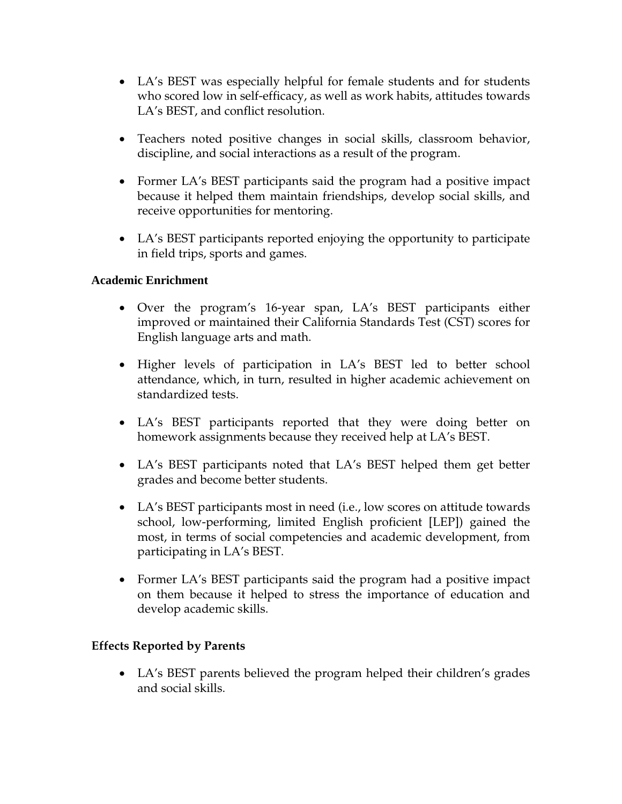- LA's BEST was especially helpful for female students and for students who scored low in self-efficacy, as well as work habits, attitudes towards LA's BEST, and conflict resolution.
- Teachers noted positive changes in social skills, classroom behavior, discipline, and social interactions as a result of the program.
- Former LA's BEST participants said the program had a positive impact because it helped them maintain friendships, develop social skills, and receive opportunities for mentoring.
- LA's BEST participants reported enjoying the opportunity to participate in field trips, sports and games.

# **Academic Enrichment**

- Over the program's 16-year span, LA's BEST participants either improved or maintained their California Standards Test (CST) scores for English language arts and math.
- Higher levels of participation in LA's BEST led to better school attendance, which, in turn, resulted in higher academic achievement on standardized tests.
- LA's BEST participants reported that they were doing better on homework assignments because they received help at LA's BEST.
- LA's BEST participants noted that LA's BEST helped them get better grades and become better students.
- LA's BEST participants most in need (i.e., low scores on attitude towards school, low-performing, limited English proficient [LEP]) gained the most, in terms of social competencies and academic development, from participating in LA's BEST.
- Former LA's BEST participants said the program had a positive impact on them because it helped to stress the importance of education and develop academic skills.

# **Effects Reported by Parents**

• LA's BEST parents believed the program helped their children's grades and social skills.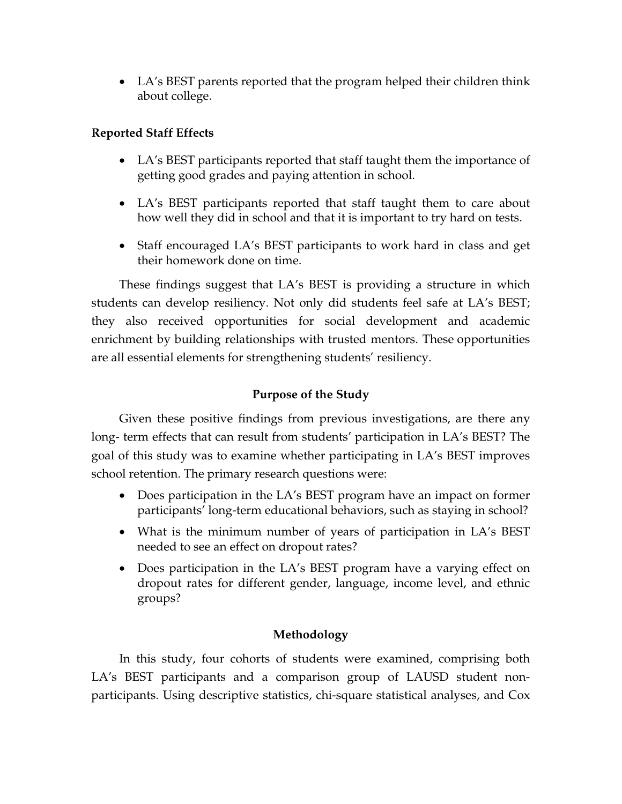• LA's BEST parents reported that the program helped their children think about college.

# **Reported Staff Effects**

- LA's BEST participants reported that staff taught them the importance of getting good grades and paying attention in school.
- LA's BEST participants reported that staff taught them to care about how well they did in school and that it is important to try hard on tests.
- Staff encouraged LA's BEST participants to work hard in class and get their homework done on time.

These findings suggest that LA's BEST is providing a structure in which students can develop resiliency. Not only did students feel safe at LA's BEST; they also received opportunities for social development and academic enrichment by building relationships with trusted mentors. These opportunities are all essential elements for strengthening students' resiliency.

# **Purpose of the Study**

Given these positive findings from previous investigations, are there any long- term effects that can result from students' participation in LA's BEST? The goal of this study was to examine whether participating in LA's BEST improves school retention. The primary research questions were:

- Does participation in the LA's BEST program have an impact on former participants' long-term educational behaviors, such as staying in school?
- What is the minimum number of years of participation in LA's BEST needed to see an effect on dropout rates?
- Does participation in the LA's BEST program have a varying effect on dropout rates for different gender, language, income level, and ethnic groups?

# **Methodology**

In this study, four cohorts of students were examined, comprising both LA's BEST participants and a comparison group of LAUSD student nonparticipants. Using descriptive statistics, chi-square statistical analyses, and Cox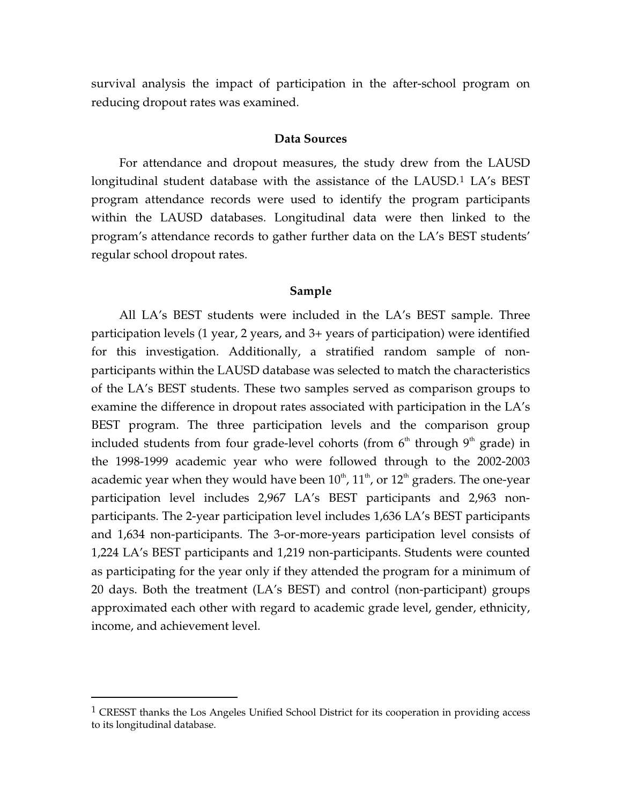survival analysis the impact of participation in the after-school program on reducing dropout rates was examined.

## **Data Sources**

For attendance and dropout measures, the study drew from the LAUSD longitudinal student database with the assistance of the LAUSD.<sup>[1](#page-7-0)</sup> LA's BEST program attendance records were used to identify the program participants within the LAUSD databases. Longitudinal data were then linked to the program's attendance records to gather further data on the LA's BEST students' regular school dropout rates.

#### **Sample**

All LA's BEST students were included in the LA's BEST sample. Three participation levels (1 year, 2 years, and 3+ years of participation) were identified for this investigation. Additionally, a stratified random sample of nonparticipants within the LAUSD database was selected to match the characteristics of the LA's BEST students. These two samples served as comparison groups to examine the difference in dropout rates associated with participation in the LA's BEST program. The three participation levels and the comparison group included students from four grade-level cohorts (from  $6<sup>th</sup>$  through  $9<sup>th</sup>$  grade) in the 1998-1999 academic year who were followed through to the 2002-2003 academic year when they would have been  $10^{th}$ ,  $11^{th}$ , or  $12^{th}$  graders. The one-year participation level includes 2,967 LA's BEST participants and 2,963 nonparticipants. The 2-year participation level includes 1,636 LA's BEST participants and 1,634 non-participants. The 3-or-more-years participation level consists of 1,224 LA's BEST participants and 1,219 non-participants. Students were counted as participating for the year only if they attended the program for a minimum of 20 days. Both the treatment (LA's BEST) and control (non-participant) groups approximated each other with regard to academic grade level, gender, ethnicity, income, and achievement level.

 $\overline{a}$ 

<span id="page-7-0"></span><sup>&</sup>lt;sup>1</sup> CRESST thanks the Los Angeles Unified School District for its cooperation in providing access to its longitudinal database.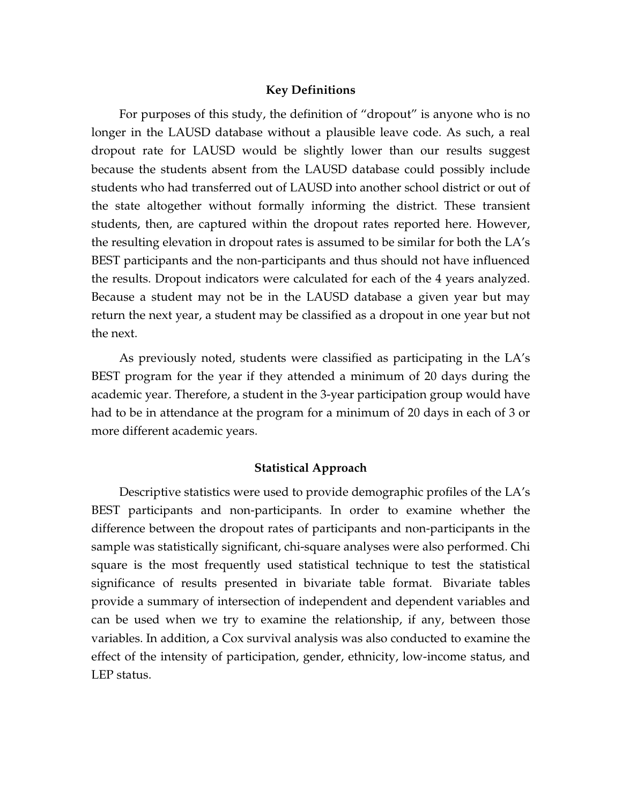### **Key Definitions**

For purposes of this study, the definition of "dropout" is anyone who is no longer in the LAUSD database without a plausible leave code. As such, a real dropout rate for LAUSD would be slightly lower than our results suggest because the students absent from the LAUSD database could possibly include students who had transferred out of LAUSD into another school district or out of the state altogether without formally informing the district. These transient students, then, are captured within the dropout rates reported here. However, the resulting elevation in dropout rates is assumed to be similar for both the LA's BEST participants and the non-participants and thus should not have influenced the results. Dropout indicators were calculated for each of the 4 years analyzed. Because a student may not be in the LAUSD database a given year but may return the next year, a student may be classified as a dropout in one year but not the next.

As previously noted, students were classified as participating in the LA's BEST program for the year if they attended a minimum of 20 days during the academic year. Therefore, a student in the 3-year participation group would have had to be in attendance at the program for a minimum of 20 days in each of 3 or more different academic years.

## **Statistical Approach**

Descriptive statistics were used to provide demographic profiles of the LA's BEST participants and non-participants. In order to examine whether the difference between the dropout rates of participants and non-participants in the sample was statistically significant, chi-square analyses were also performed. Chi square is the most frequently used statistical technique to test the statistical significance of results presented in bivariate table format. Bivariate tables provide a summary of intersection of independent and dependent variables and can be used when we try to examine the relationship, if any, between those variables. In addition, a Cox survival analysis was also conducted to examine the effect of the intensity of participation, gender, ethnicity, low-income status, and LEP status.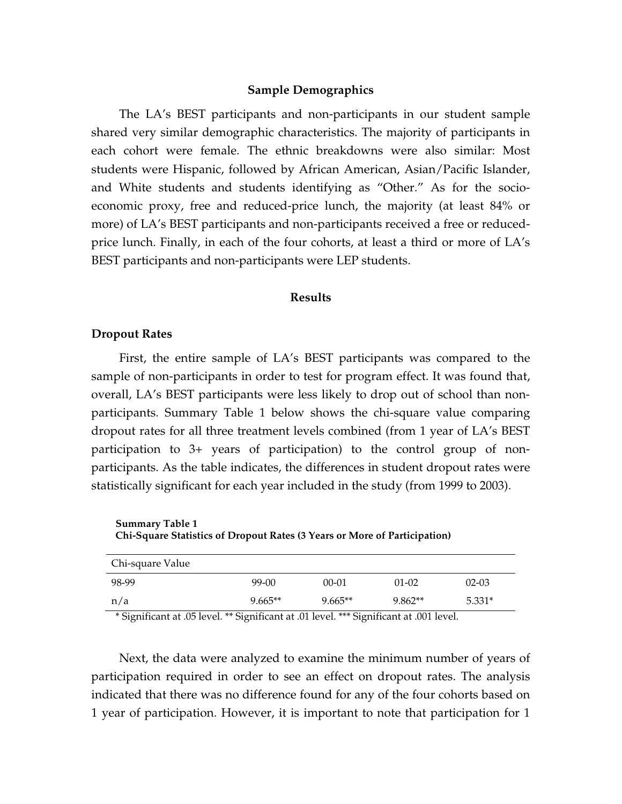### **Sample Demographics**

The LA's BEST participants and non-participants in our student sample shared very similar demographic characteristics. The majority of participants in each cohort were female. The ethnic breakdowns were also similar: Most students were Hispanic, followed by African American, Asian/Pacific Islander, and White students and students identifying as "Other." As for the socioeconomic proxy, free and reduced-price lunch, the majority (at least 84% or more) of LA's BEST participants and non-participants received a free or reducedprice lunch. Finally, in each of the four cohorts, at least a third or more of LA's BEST participants and non-participants were LEP students.

#### **Results**

## **Dropout Rates**

First, the entire sample of LA's BEST participants was compared to the sample of non-participants in order to test for program effect. It was found that, overall, LA's BEST participants were less likely to drop out of school than nonparticipants. Summary Table 1 below shows the chi-square value comparing dropout rates for all three treatment levels combined (from 1 year of LA's BEST participation to 3+ years of participation) to the control group of nonparticipants. As the table indicates, the differences in student dropout rates were statistically significant for each year included in the study (from 1999 to 2003).

| <b>Summary Table 1</b>                                                    |  |
|---------------------------------------------------------------------------|--|
| Chi-Square Statistics of Dropout Rates (3 Years or More of Participation) |  |
|                                                                           |  |

| Chi-square Value                                                                        |           |           |           |           |  |  |
|-----------------------------------------------------------------------------------------|-----------|-----------|-----------|-----------|--|--|
| 98-99                                                                                   | 99-00     | $00 - 01$ | $01 - 02$ | $02 - 03$ |  |  |
| n/a                                                                                     | $9.665**$ | $9.665**$ | 9.862**   | 5.331*    |  |  |
| * Significant at .05 level. ** Significant at .01 level. *** Significant at .001 level. |           |           |           |           |  |  |

Next, the data were analyzed to examine the minimum number of years of participation required in order to see an effect on dropout rates. The analysis indicated that there was no difference found for any of the four cohorts based on 1 year of participation. However, it is important to note that participation for 1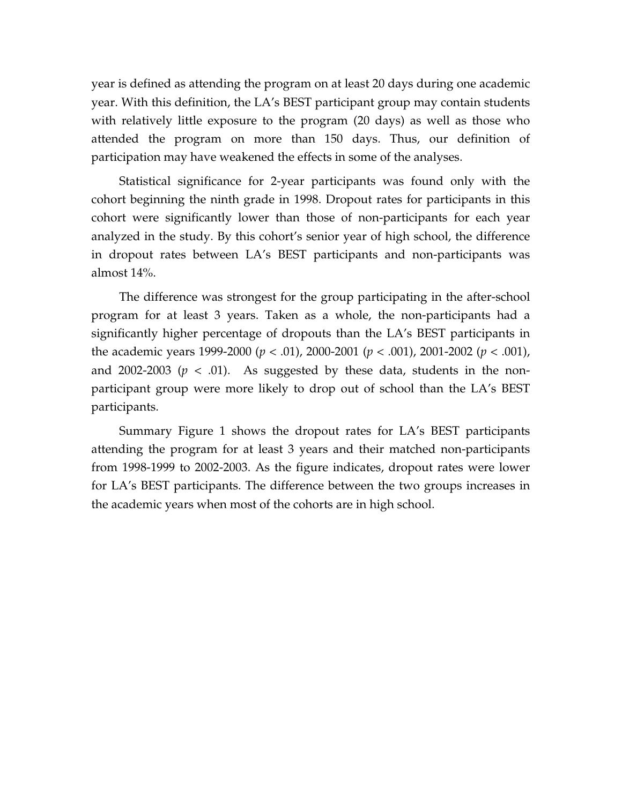year is defined as attending the program on at least 20 days during one academic year. With this definition, the LA's BEST participant group may contain students with relatively little exposure to the program (20 days) as well as those who attended the program on more than 150 days. Thus, our definition of participation may have weakened the effects in some of the analyses.

Statistical significance for 2-year participants was found only with the cohort beginning the ninth grade in 1998. Dropout rates for participants in this cohort were significantly lower than those of non-participants for each year analyzed in the study. By this cohort's senior year of high school, the difference in dropout rates between LA's BEST participants and non-participants was almost 14%.

The difference was strongest for the group participating in the after-school program for at least 3 years. Taken as a whole, the non-participants had a significantly higher percentage of dropouts than the LA's BEST participants in the academic years 1999-2000 (*p* < .01), 2000-2001 (*p* < .001), 2001-2002 (*p* < .001), and 2002-2003 ( $p < .01$ ). As suggested by these data, students in the nonparticipant group were more likely to drop out of school than the LA's BEST participants.

Summary Figure 1 shows the dropout rates for LA's BEST participants attending the program for at least 3 years and their matched non-participants from 1998-1999 to 2002-2003. As the figure indicates, dropout rates were lower for LA's BEST participants. The difference between the two groups increases in the academic years when most of the cohorts are in high school.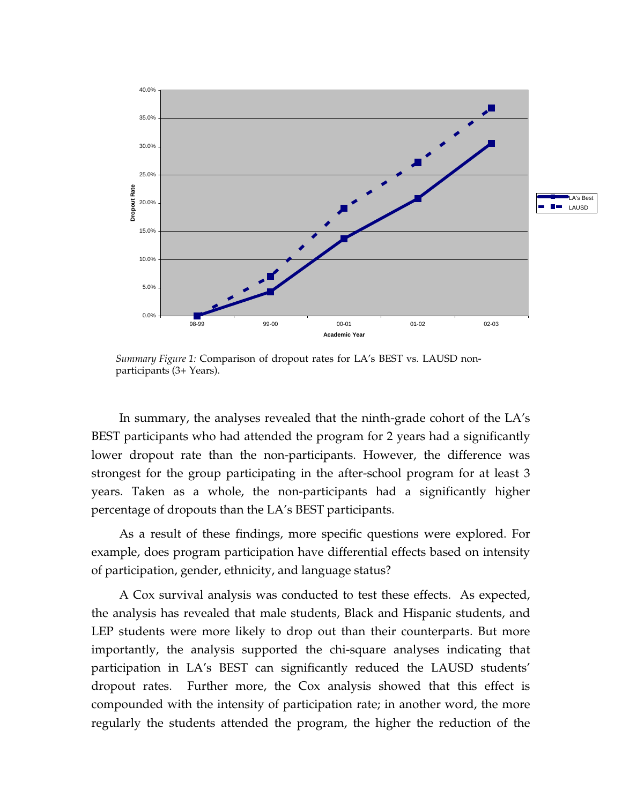

*Summary Figure 1:* Comparison of dropout rates for LA's BEST vs. LAUSD nonparticipants (3+ Years).

In summary, the analyses revealed that the ninth-grade cohort of the LA's BEST participants who had attended the program for 2 years had a significantly lower dropout rate than the non-participants. However, the difference was strongest for the group participating in the after-school program for at least 3 years. Taken as a whole, the non-participants had a significantly higher percentage of dropouts than the LA's BEST participants.

As a result of these findings, more specific questions were explored. For example, does program participation have differential effects based on intensity of participation, gender, ethnicity, and language status?

A Cox survival analysis was conducted to test these effects. As expected, the analysis has revealed that male students, Black and Hispanic students, and LEP students were more likely to drop out than their counterparts. But more importantly, the analysis supported the chi-square analyses indicating that participation in LA's BEST can significantly reduced the LAUSD students' dropout rates. Further more, the Cox analysis showed that this effect is compounded with the intensity of participation rate; in another word, the more regularly the students attended the program, the higher the reduction of the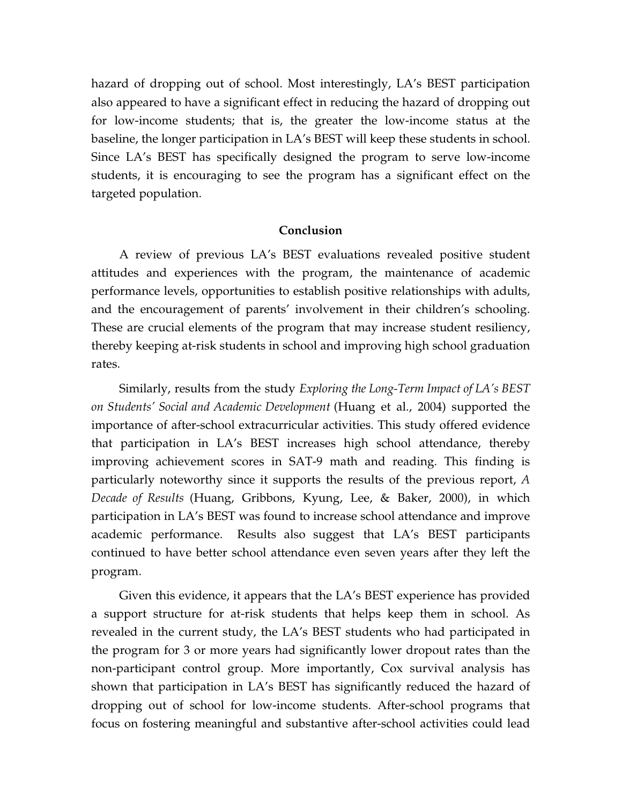hazard of dropping out of school. Most interestingly, LA's BEST participation also appeared to have a significant effect in reducing the hazard of dropping out for low-income students; that is, the greater the low-income status at the baseline, the longer participation in LA's BEST will keep these students in school. Since LA's BEST has specifically designed the program to serve low-income students, it is encouraging to see the program has a significant effect on the targeted population.

### **Conclusion**

A review of previous LA's BEST evaluations revealed positive student attitudes and experiences with the program, the maintenance of academic performance levels, opportunities to establish positive relationships with adults, and the encouragement of parents' involvement in their children's schooling. These are crucial elements of the program that may increase student resiliency, thereby keeping at-risk students in school and improving high school graduation rates.

Similarly, results from the study *Exploring the Long-Term Impact of LA's BEST on Students' Social and Academic Development* (Huang et al., 2004) supported the importance of after-school extracurricular activities. This study offered evidence that participation in LA's BEST increases high school attendance, thereby improving achievement scores in SAT-9 math and reading. This finding is particularly noteworthy since it supports the results of the previous report, *A Decade of Results* (Huang, Gribbons, Kyung, Lee, & Baker, 2000), in which participation in LA's BEST was found to increase school attendance and improve academic performance.Results also suggest that LA's BEST participants continued to have better school attendance even seven years after they left the program.

Given this evidence, it appears that the LA's BEST experience has provided a support structure for at-risk students that helps keep them in school. As revealed in the current study, the LA's BEST students who had participated in the program for 3 or more years had significantly lower dropout rates than the non-participant control group. More importantly, Cox survival analysis has shown that participation in LA's BEST has significantly reduced the hazard of dropping out of school for low-income students. After-school programs that focus on fostering meaningful and substantive after-school activities could lead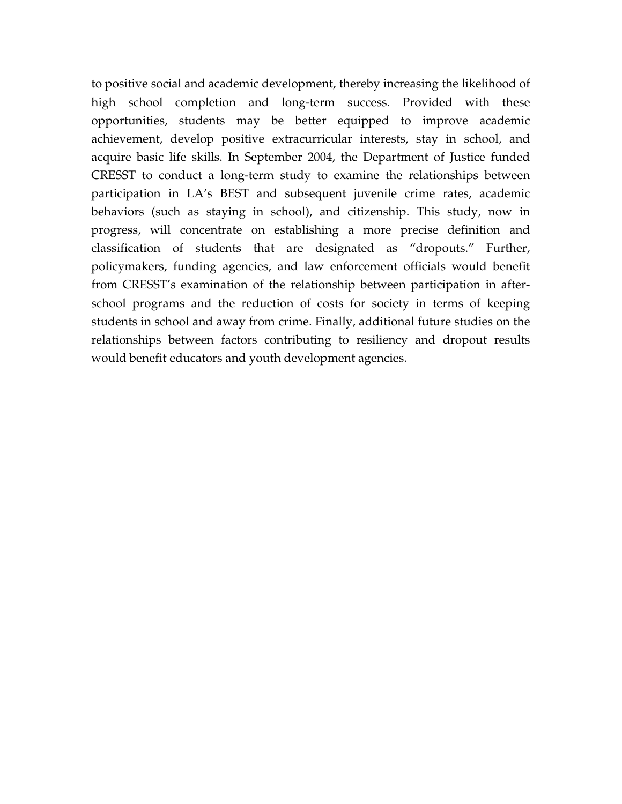to positive social and academic development, thereby increasing the likelihood of high school completion and long-term success. Provided with these opportunities, students may be better equipped to improve academic achievement, develop positive extracurricular interests, stay in school, and acquire basic life skills. In September 2004, the Department of Justice funded CRESST to conduct a long-term study to examine the relationships between participation in LA's BEST and subsequent juvenile crime rates, academic behaviors (such as staying in school), and citizenship. This study, now in progress, will concentrate on establishing a more precise definition and classification of students that are designated as "dropouts." Further, policymakers, funding agencies, and law enforcement officials would benefit from CRESST's examination of the relationship between participation in afterschool programs and the reduction of costs for society in terms of keeping students in school and away from crime. Finally, additional future studies on the relationships between factors contributing to resiliency and dropout results would benefit educators and youth development agencies.